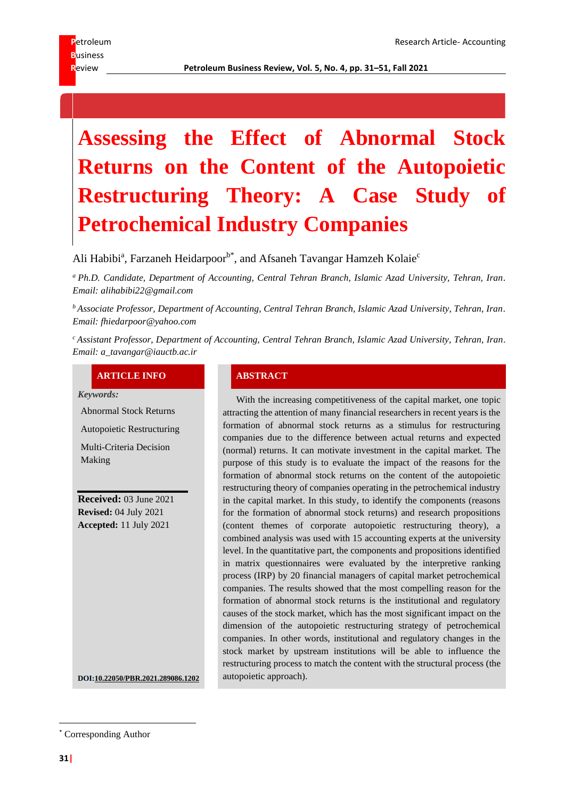# **Assessing the Effect of Abnormal Stock Returns on the Content of the Autopoietic Restructuring Theory: A Case Study of Petrochemical Industry Companies**

Ali Habibi<sup>a</sup>, Farzaneh Heidarpoor<sup>b\*</sup>, and Afsaneh Tavangar Hamzeh Kolaie<sup>c</sup>

*<sup>a</sup> Ph.D. Candidate, Department of Accounting, Central Tehran Branch, Islamic Azad University, Tehran, Iran. Email: alihabibi22@gmail.com*

*<sup>b</sup> Associate Professor, Department of Accounting, Central Tehran Branch, Islamic Azad University, Tehran, Iran. Email: fhiedarpoor@yahoo.com*

*<sup>c</sup> Assistant Professor, Department of Accounting, Central Tehran Branch, Islamic Azad University, Tehran, Iran. Email: a\_tavangar@iauctb.ac.ir*

#### **ARTICLE INFO ABSTRACT**

*Keywords:*

Making

Abnormal Stock Returns

Autopoietic Restructuring Multi-Criteria Decision

**Received:** 03 June 2021 **Revised:** 04 July 2021 **Accepted:** 11 July 2021

With the increasing competitiveness of the capital market, one topic attracting the attention of many financial researchers in recent years is the formation of abnormal stock returns as a stimulus for restructuring companies due to the difference between actual returns and expected (normal) returns. It can motivate investment in the capital market. The purpose of this study is to evaluate the impact of the reasons for the formation of abnormal stock returns on the content of the autopoietic restructuring theory of companies operating in the petrochemical industry in the capital market. In this study, to identify the components (reasons for the formation of abnormal stock returns) and research propositions (content themes of corporate autopoietic restructuring theory), a combined analysis was used with 15 accounting experts at the university level. In the quantitative part, the components and propositions identified in matrix questionnaires were evaluated by the interpretive ranking process (IRP) by 20 financial managers of capital market petrochemical companies. The results showed that the most compelling reason for the formation of abnormal stock returns is the institutional and regulatory causes of the stock market, which has the most significant impact on the dimension of the autopoietic restructuring strategy of petrochemical companies. In other words, institutional and regulatory changes in the stock market by upstream institutions will be able to influence the restructuring process to match the content with the structural process (the

**DOI:10.22050/PBR.2021.289086.1202** autopoietic approach).

<sup>\*</sup> Corresponding Author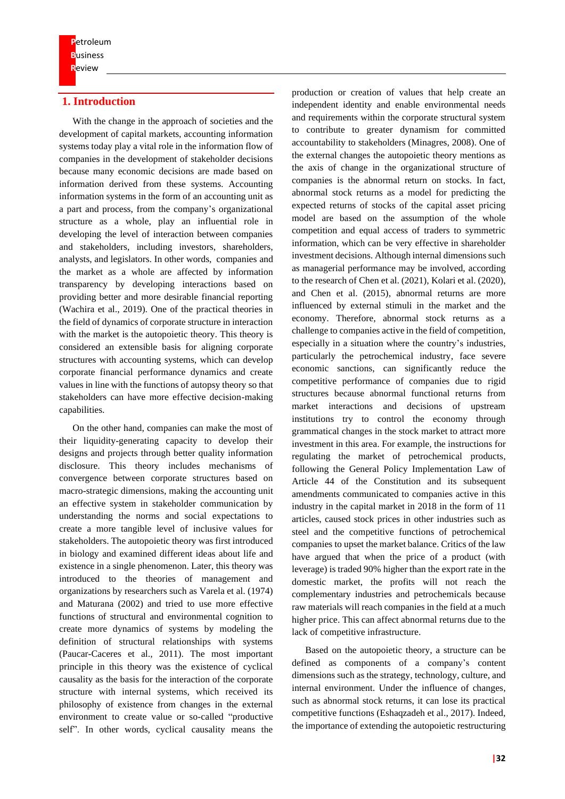# **1. Introduction**

With the change in the approach of societies and the development of capital markets, accounting information systems today play a vital role in the information flow of companies in the development of stakeholder decisions because many economic decisions are made based on information derived from these systems. Accounting information systems in the form of an accounting unit as a part and process, from the company's organizational structure as a whole, play an influential role in developing the level of interaction between companies and stakeholders, including investors, shareholders, analysts, and legislators. In other words, companies and the market as a whole are affected by information transparency by developing interactions based on providing better and more desirable financial reporting (Wachira et al., 2019). One of the practical theories in the field of dynamics of corporate structure in interaction with the market is the autopoietic theory. This theory is considered an extensible basis for aligning corporate structures with accounting systems, which can develop corporate financial performance dynamics and create values in line with the functions of autopsy theory so that stakeholders can have more effective decision-making capabilities.

On the other hand, companies can make the most of their liquidity-generating capacity to develop their designs and projects through better quality information disclosure. This theory includes mechanisms of convergence between corporate structures based on macro-strategic dimensions, making the accounting unit an effective system in stakeholder communication by understanding the norms and social expectations to create a more tangible level of inclusive values for stakeholders. The autopoietic theory was first introduced in biology and examined different ideas about life and existence in a single phenomenon. Later, this theory was introduced to the theories of management and organizations by researchers such as Varela et al. (1974) and Maturana (2002) and tried to use more effective functions of structural and environmental cognition to create more dynamics of systems by modeling the definition of structural relationships with systems (Paucar-Caceres et al., 2011). The most important principle in this theory was the existence of cyclical causality as the basis for the interaction of the corporate structure with internal systems, which received its philosophy of existence from changes in the external environment to create value or so-called "productive self". In other words, cyclical causality means the

production or creation of values that help create an independent identity and enable environmental needs and requirements within the corporate structural system to contribute to greater dynamism for committed accountability to stakeholders (Minagres, 2008). One of the external changes the autopoietic theory mentions as the axis of change in the organizational structure of companies is the abnormal return on stocks. In fact, abnormal stock returns as a model for predicting the expected returns of stocks of the capital asset pricing model are based on the assumption of the whole competition and equal access of traders to symmetric information, which can be very effective in shareholder investment decisions. Although internal dimensions such as managerial performance may be involved, according to the research of Chen et al. (2021), Kolari et al. (2020), and Chen et al. (2015), abnormal returns are more influenced by external stimuli in the market and the economy. Therefore, abnormal stock returns as a challenge to companies active in the field of competition, especially in a situation where the country's industries, particularly the petrochemical industry, face severe economic sanctions, can significantly reduce the competitive performance of companies due to rigid structures because abnormal functional returns from market interactions and decisions of upstream institutions try to control the economy through grammatical changes in the stock market to attract more investment in this area. For example, the instructions for regulating the market of petrochemical products, following the General Policy Implementation Law of Article 44 of the Constitution and its subsequent amendments communicated to companies active in this industry in the capital market in 2018 in the form of 11 articles, caused stock prices in other industries such as steel and the competitive functions of petrochemical companies to upset the market balance. Critics of the law have argued that when the price of a product (with leverage) is traded 90% higher than the export rate in the domestic market, the profits will not reach the complementary industries and petrochemicals because raw materials will reach companies in the field at a much higher price. This can affect abnormal returns due to the lack of competitive infrastructure.

Based on the autopoietic theory, a structure can be defined as components of a company's content dimensions such as the strategy, technology, culture, and internal environment. Under the influence of changes, such as abnormal stock returns, it can lose its practical competitive functions (Eshaqzadeh et al., 2017). Indeed, the importance of extending the autopoietic restructuring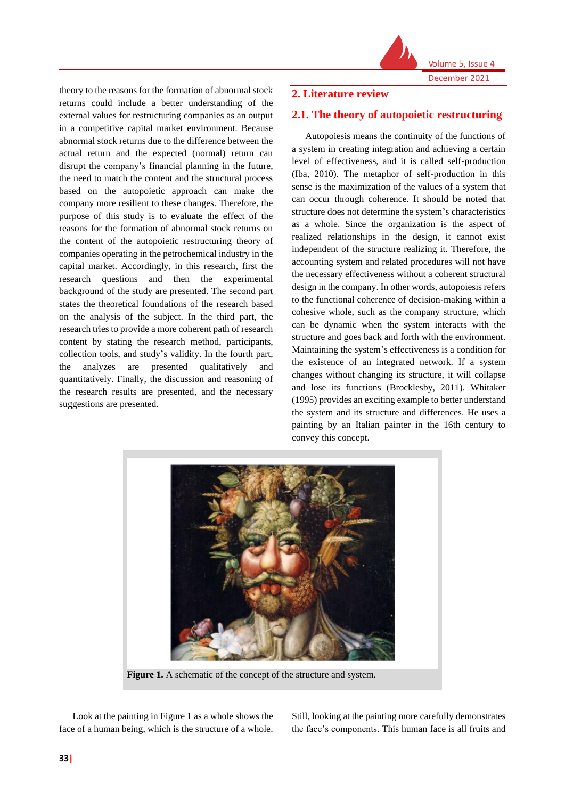

Volume 5, Issue 4

theory to the reasons for the formation of abnormal stock returns could include a better understanding of the external values for restructuring companies as an output in a competitive capital market environment. Because abnormal stock returns due to the difference between the actual return and the expected (normal) return can disrupt the company's financial planning in the future, the need to match the content and the structural process based on the autopoietic approach can make the company more resilient to these changes. Therefore, the purpose of this study is to evaluate the effect of the reasons for the formation of abnormal stock returns on the content of the autopoietic restructuring theory of companies operating in the petrochemical industry in the capital market. Accordingly, in this research, first the research questions and then the experimental background of the study are presented. The second part states the theoretical foundations of the research based on the analysis of the subject. In the third part, the research tries to provide a more coherent path of research content by stating the research method, participants, collection tools, and study's validity. In the fourth part, the analyzes are presented qualitatively and quantitatively. Finally, the discussion and reasoning of the research results are presented, and the necessary suggestions are presented.

# **2. Literature review**

# **2.1. The theory of autopoietic restructuring**

Autopoiesis means the continuity of the functions of a system in creating integration and achieving a certain level of effectiveness, and it is called self-production (Iba, 2010). The metaphor of self-production in this sense is the maximization of the values of a system that can occur through coherence. It should be noted that structure does not determine the system's characteristics as a whole. Since the organization is the aspect of realized relationships in the design, it cannot exist independent of the structure realizing it. Therefore, the accounting system and related procedures will not have the necessary effectiveness without a coherent structural design in the company. In other words, autopoiesis refers to the functional coherence of decision-making within a cohesive whole, such as the company structure, which can be dynamic when the system interacts with the structure and goes back and forth with the environment. Maintaining the system's effectiveness is a condition for the existence of an integrated network. If a system changes without changing its structure, it will collapse and lose its functions (Brocklesby, 2011). Whitaker (1995) provides an exciting example to better understand the system and its structure and differences. He uses a painting by an Italian painter in the 16th century to convey this concept.



**Figure 1.** A schematic of the concept of the structure and system.

Look at the painting in Figure 1 as a whole shows the face of a human being, which is the structure of a whole.

Still, looking at the painting more carefully demonstrates the face's components. This human face is all fruits and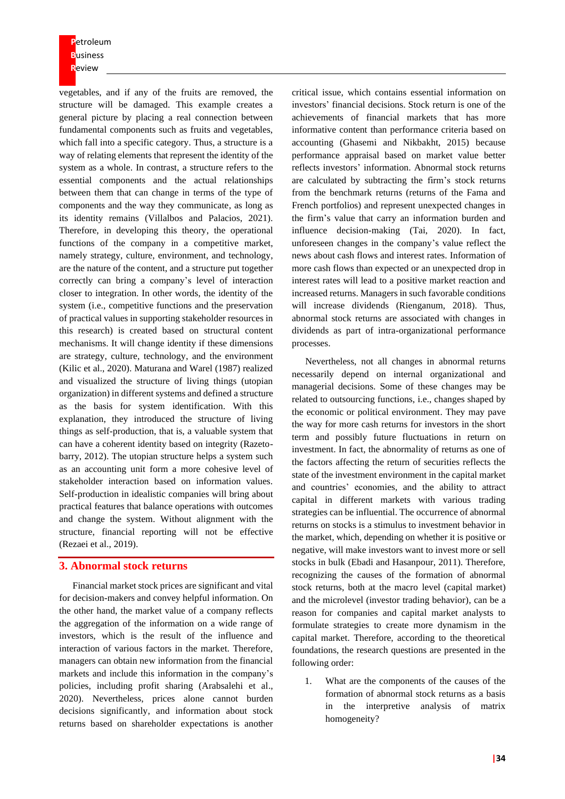**P**etroleum **B**usiness **R**eview

vegetables, and if any of the fruits are removed, the structure will be damaged. This example creates a general picture by placing a real connection between fundamental components such as fruits and vegetables, which fall into a specific category. Thus, a structure is a way of relating elements that represent the identity of the system as a whole. In contrast, a structure refers to the essential components and the actual relationships between them that can change in terms of the type of components and the way they communicate, as long as its identity remains (Villalbos and Palacios, 2021). Therefore, in developing this theory, the operational functions of the company in a competitive market, namely strategy, culture, environment, and technology, are the nature of the content, and a structure put together correctly can bring a company's level of interaction closer to integration. In other words, the identity of the system (i.e., competitive functions and the preservation of practical values in supporting stakeholder resources in this research) is created based on structural content mechanisms. It will change identity if these dimensions are strategy, culture, technology, and the environment (Kilic et al., 2020). Maturana and Warel (1987) realized and visualized the structure of living things (utopian organization) in different systems and defined a structure as the basis for system identification. With this explanation, they introduced the structure of living things as self-production, that is, a valuable system that can have a coherent identity based on integrity (Razetobarry, 2012). The utopian structure helps a system such as an accounting unit form a more cohesive level of stakeholder interaction based on information values. Self-production in idealistic companies will bring about practical features that balance operations with outcomes and change the system. Without alignment with the structure, financial reporting will not be effective (Rezaei et al., 2019).

### **3. Abnormal stock returns**

Financial market stock prices are significant and vital for decision-makers and convey helpful information. On the other hand, the market value of a company reflects the aggregation of the information on a wide range of investors, which is the result of the influence and interaction of various factors in the market. Therefore, managers can obtain new information from the financial markets and include this information in the company's policies, including profit sharing (Arabsalehi et al., 2020). Nevertheless, prices alone cannot burden decisions significantly, and information about stock returns based on shareholder expectations is another

critical issue, which contains essential information on investors' financial decisions. Stock return is one of the achievements of financial markets that has more informative content than performance criteria based on accounting (Ghasemi and Nikbakht, 2015) because performance appraisal based on market value better reflects investors' information. Abnormal stock returns are calculated by subtracting the firm's stock returns from the benchmark returns (returns of the Fama and French portfolios) and represent unexpected changes in the firm's value that carry an information burden and influence decision-making (Tai, 2020). In fact, unforeseen changes in the company's value reflect the news about cash flows and interest rates. Information of more cash flows than expected or an unexpected drop in interest rates will lead to a positive market reaction and increased returns. Managers in such favorable conditions will increase dividends (Rienganum, 2018). Thus, abnormal stock returns are associated with changes in dividends as part of intra-organizational performance processes.

Nevertheless, not all changes in abnormal returns necessarily depend on internal organizational and managerial decisions. Some of these changes may be related to outsourcing functions, i.e., changes shaped by the economic or political environment. They may pave the way for more cash returns for investors in the short term and possibly future fluctuations in return on investment. In fact, the abnormality of returns as one of the factors affecting the return of securities reflects the state of the investment environment in the capital market and countries' economies, and the ability to attract capital in different markets with various trading strategies can be influential. The occurrence of abnormal returns on stocks is a stimulus to investment behavior in the market, which, depending on whether it is positive or negative, will make investors want to invest more or sell stocks in bulk (Ebadi and Hasanpour, 2011). Therefore, recognizing the causes of the formation of abnormal stock returns, both at the macro level (capital market) and the microlevel (investor trading behavior), can be a reason for companies and capital market analysts to formulate strategies to create more dynamism in the capital market. Therefore, according to the theoretical foundations, the research questions are presented in the following order:

1. What are the components of the causes of the formation of abnormal stock returns as a basis in the interpretive analysis of matrix homogeneity?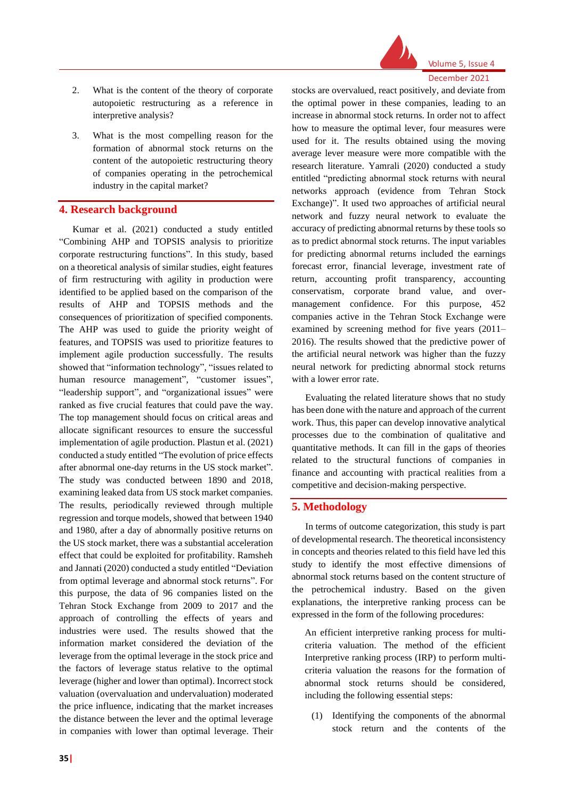

Volume 5, Issue 4 December 2021

# 2. What is the content of the theory of corporate autopoietic restructuring as a reference in interpretive analysis?

3. What is the most compelling reason for the formation of abnormal stock returns on the content of the autopoietic restructuring theory of companies operating in the petrochemical industry in the capital market?

### **4. Research background**

Kumar et al. (2021) conducted a study entitled "Combining AHP and TOPSIS analysis to prioritize corporate restructuring functions". In this study, based on a theoretical analysis of similar studies, eight features of firm restructuring with agility in production were identified to be applied based on the comparison of the results of AHP and TOPSIS methods and the consequences of prioritization of specified components. The AHP was used to guide the priority weight of features, and TOPSIS was used to prioritize features to implement agile production successfully. The results showed that "information technology", "issues related to human resource management", "customer issues", "leadership support", and "organizational issues" were ranked as five crucial features that could pave the way. The top management should focus on critical areas and allocate significant resources to ensure the successful implementation of agile production. Plastun et al. (2021) conducted a study entitled "The evolution of price effects after abnormal one-day returns in the US stock market". The study was conducted between 1890 and 2018, examining leaked data from US stock market companies. The results, periodically reviewed through multiple regression and torque models, showed that between 1940 and 1980, after a day of abnormally positive returns on the US stock market, there was a substantial acceleration effect that could be exploited for profitability. Ramsheh and Jannati (2020) conducted a study entitled "Deviation from optimal leverage and abnormal stock returns". For this purpose, the data of 96 companies listed on the Tehran Stock Exchange from 2009 to 2017 and the approach of controlling the effects of years and industries were used. The results showed that the information market considered the deviation of the leverage from the optimal leverage in the stock price and the factors of leverage status relative to the optimal leverage (higher and lower than optimal). Incorrect stock valuation (overvaluation and undervaluation) moderated the price influence, indicating that the market increases the distance between the lever and the optimal leverage in companies with lower than optimal leverage. Their

stocks are overvalued, react positively, and deviate from the optimal power in these companies, leading to an increase in abnormal stock returns. In order not to affect how to measure the optimal lever, four measures were used for it. The results obtained using the moving average lever measure were more compatible with the research literature. Yamrali (2020) conducted a study entitled "predicting abnormal stock returns with neural networks approach (evidence from Tehran Stock Exchange)". It used two approaches of artificial neural network and fuzzy neural network to evaluate the accuracy of predicting abnormal returns by these tools so as to predict abnormal stock returns. The input variables for predicting abnormal returns included the earnings forecast error, financial leverage, investment rate of return, accounting profit transparency, accounting conservatism, corporate brand value, and overmanagement confidence. For this purpose, 452 companies active in the Tehran Stock Exchange were examined by screening method for five years (2011– 2016). The results showed that the predictive power of the artificial neural network was higher than the fuzzy neural network for predicting abnormal stock returns with a lower error rate.

Evaluating the related literature shows that no study has been done with the nature and approach of the current work. Thus, this paper can develop innovative analytical processes due to the combination of qualitative and quantitative methods. It can fill in the gaps of theories related to the structural functions of companies in finance and accounting with practical realities from a competitive and decision-making perspective.

#### **5. Methodology**

In terms of outcome categorization, this study is part of developmental research. The theoretical inconsistency in concepts and theories related to this field have led this study to identify the most effective dimensions of abnormal stock returns based on the content structure of the petrochemical industry. Based on the given explanations, the interpretive ranking process can be expressed in the form of the following procedures:

An efficient interpretive ranking process for multicriteria valuation. The method of the efficient Interpretive ranking process (IRP) to perform multicriteria valuation the reasons for the formation of abnormal stock returns should be considered, including the following essential steps:

(1) Identifying the components of the abnormal stock return and the contents of the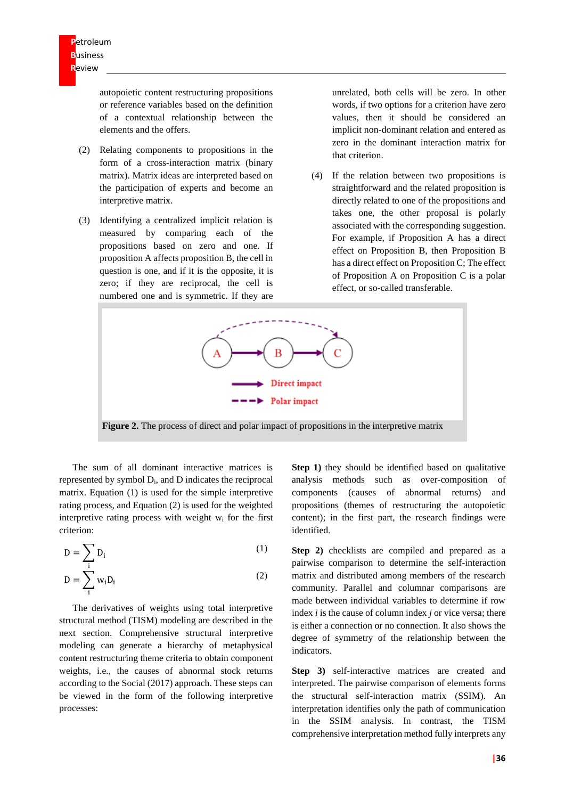autopoietic content restructuring propositions or reference variables based on the definition of a contextual relationship between the elements and the offers.

- (2) Relating components to propositions in the form of a cross-interaction matrix (binary matrix). Matrix ideas are interpreted based on the participation of experts and become an interpretive matrix.
- (3) Identifying a centralized implicit relation is measured by comparing each of the propositions based on zero and one. If proposition A affects proposition B, the cell in question is one, and if it is the opposite, it is zero; if they are reciprocal, the cell is numbered one and is symmetric. If they are

unrelated, both cells will be zero. In other words, if two options for a criterion have zero values, then it should be considered an implicit non-dominant relation and entered as zero in the dominant interaction matrix for that criterion.

(4) If the relation between two propositions is straightforward and the related proposition is directly related to one of the propositions and takes one, the other proposal is polarly associated with the corresponding suggestion. For example, if Proposition A has a direct effect on Proposition B, then Proposition B has a direct effect on Proposition C; The effect of Proposition A on Proposition C is a polar effect, or so-called transferable.



**Figure 2.** The process of direct and polar impact of propositions in the interpretive matrix

The sum of all dominant interactive matrices is represented by symbol Di, and D indicates the reciprocal matrix. Equation (1) is used for the simple interpretive rating process, and Equation (2) is used for the weighted interpretive rating process with weight w<sup>i</sup> for the first criterion:

$$
D = \sum_{i} D_i \tag{1}
$$

$$
D = \sum_{i}^{i} w_i D_i \tag{2}
$$

The derivatives of weights using total interpretive structural method (TISM) modeling are described in the next section. Comprehensive structural interpretive modeling can generate a hierarchy of metaphysical content restructuring theme criteria to obtain component weights, i.e., the causes of abnormal stock returns according to the Social (2017) approach. These steps can be viewed in the form of the following interpretive processes:

**Step 1)** they should be identified based on qualitative analysis methods such as over-composition of components (causes of abnormal returns) and propositions (themes of restructuring the autopoietic content); in the first part, the research findings were identified.

**Step 2)** checklists are compiled and prepared as a pairwise comparison to determine the self-interaction matrix and distributed among members of the research community. Parallel and columnar comparisons are made between individual variables to determine if row index *i* is the cause of column index *j* or vice versa; there is either a connection or no connection. It also shows the degree of symmetry of the relationship between the indicators.

**Step 3)** self-interactive matrices are created and interpreted. The pairwise comparison of elements forms the structural self-interaction matrix (SSIM). An interpretation identifies only the path of communication in the SSIM analysis. In contrast, the TISM comprehensive interpretation method fully interprets any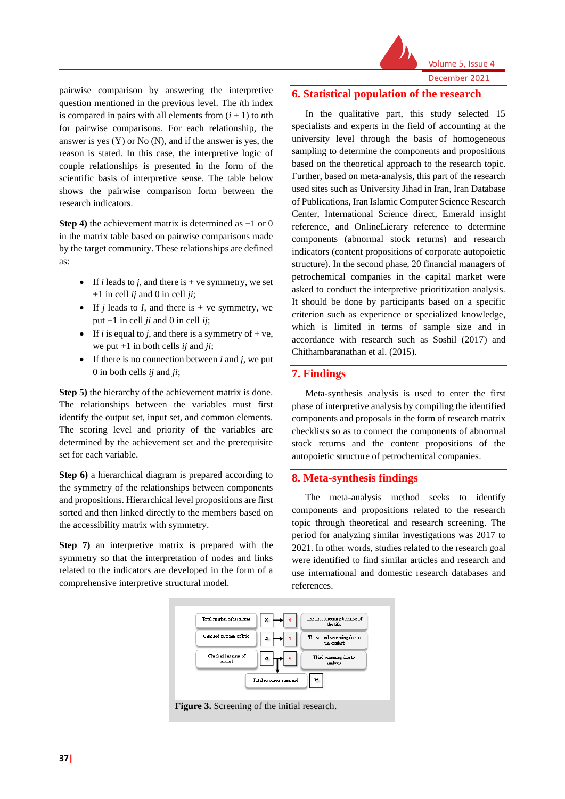

Volume 5, Issue 4 December 2021

pairwise comparison by answering the interpretive question mentioned in the previous level. The *i*th index is compared in pairs with all elements from  $(i + 1)$  to *n*th for pairwise comparisons. For each relationship, the answer is yes (Y) or No (N), and if the answer is yes, the reason is stated. In this case, the interpretive logic of couple relationships is presented in the form of the scientific basis of interpretive sense. The table below shows the pairwise comparison form between the research indicators.

**Step 4)** the achievement matrix is determined as +1 or 0 in the matrix table based on pairwise comparisons made by the target community. These relationships are defined as:

- If *i* leads to *j*, and there is  $+$  ve symmetry, we set  $+1$  in cell *ij* and 0 in cell *ji*;
- If  $j$  leads to  $I$ , and there is  $+$  ve symmetry, we put +1 in cell *ji* and 0 in cell *ij*;
- If *i* is equal to *j*, and there is a symmetry of  $+ve$ , we put +1 in both cells *ij* and *ji*;
- If there is no connection between *i* and *j*, we put 0 in both cells *ij* and *ji*;

**Step 5)** the hierarchy of the achievement matrix is done. The relationships between the variables must first identify the output set, input set, and common elements. The scoring level and priority of the variables are determined by the achievement set and the prerequisite set for each variable.

**Step 6)** a hierarchical diagram is prepared according to the symmetry of the relationships between components and propositions. Hierarchical level propositions are first sorted and then linked directly to the members based on the accessibility matrix with symmetry.

**Step 7)** an interpretive matrix is prepared with the symmetry so that the interpretation of nodes and links related to the indicators are developed in the form of a comprehensive interpretive structural model.

# **6. Statistical population of the research**

In the qualitative part, this study selected 15 specialists and experts in the field of accounting at the university level through the basis of homogeneous sampling to determine the components and propositions based on the theoretical approach to the research topic. Further, based on meta-analysis, this part of the research used sites such as University Jihad in Iran, Iran Database of Publications, Iran Islamic Computer Science Research Center, International Science direct, Emerald insight reference, and OnlineLierary reference to determine components (abnormal stock returns) and research indicators (content propositions of corporate autopoietic structure). In the second phase, 20 financial managers of petrochemical companies in the capital market were asked to conduct the interpretive prioritization analysis. It should be done by participants based on a specific criterion such as experience or specialized knowledge, which is limited in terms of sample size and in accordance with research such as Soshil (2017) and Chithambaranathan et al. (2015).

# **7. Findings**

Meta-synthesis analysis is used to enter the first phase of interpretive analysis by compiling the identified components and proposals in the form of research matrix checklists so as to connect the components of abnormal stock returns and the content propositions of the autopoietic structure of petrochemical companies.

# **8. Meta-synthesis findings**

The meta-analysis method seeks to identify components and propositions related to the research topic through theoretical and research screening. The period for analyzing similar investigations was 2017 to 2021. In other words, studies related to the research goal were identified to find similar articles and research and use international and domestic research databases and references.

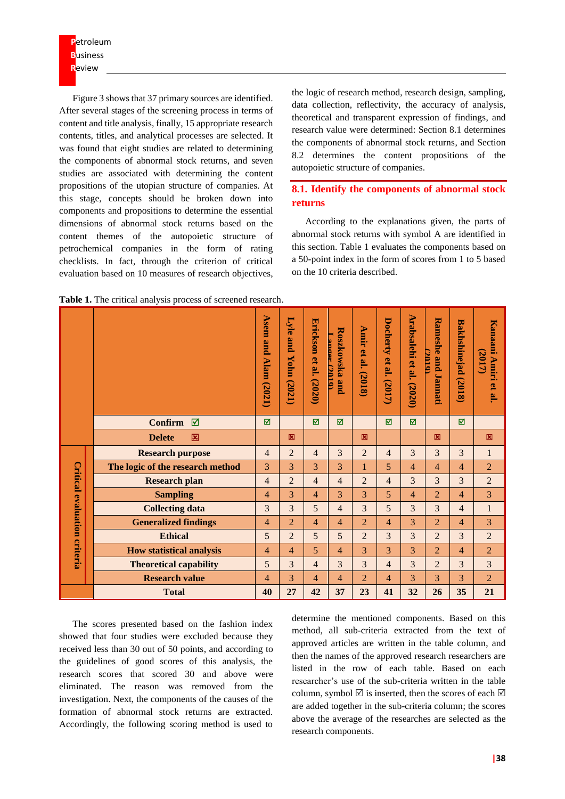**P**etroleum **B**usiness **R**eview

Figure 3 shows that 37 primary sources are identified. After several stages of the screening process in terms of content and title analysis, finally, 15 appropriate research contents, titles, and analytical processes are selected. It was found that eight studies are related to determining the components of abnormal stock returns, and seven studies are associated with determining the content propositions of the utopian structure of companies. At this stage, concepts should be broken down into components and propositions to determine the essential dimensions of abnormal stock returns based on the content themes of the autopoietic structure of petrochemical companies in the form of rating checklists. In fact, through the criterion of critical evaluation based on 10 measures of research objectives,

the logic of research method, research design, sampling, data collection, reflectivity, the accuracy of analysis, theoretical and transparent expression of findings, and research value were determined: Section 8.1 determines the components of abnormal stock returns, and Section 8.2 determines the content propositions of the autopoietic structure of companies.

# **8.1. Identify the components of abnormal stock returns**

According to the explanations given, the parts of abnormal stock returns with symbol A are identified in this section. Table 1 evaluates the components based on a 50-point index in the form of scores from 1 to 5 based on the 10 criteria described.

| Table 1. The critical analysis process of screened research. |  |
|--------------------------------------------------------------|--|
|--------------------------------------------------------------|--|

|                     |                                  | Asem<br>and<br>Alam (2021) | <b>Lyle</b><br>pue<br><b>Yohm</b><br>(2021) | Erickson et al.<br>(2020) | Roszkowska and<br>anoer.<br><b>2010</b> | <b>Amir</b><br>$\mathbf{e}$<br>al.<br>(2018) | Docherty<br>$\mathbf{e}$<br>٣.<br>7017 | <b>Arabsalehi</b><br>et al.<br>(2020) | <b>Rameshe and</b><br><b>OLDC</b><br>$\overline{\phantom{a}}$<br>iannati | <b>Bakhshinejad</b><br>(201<br>$\infty$ | Kanaani<br>2017<br>Amiri<br>et<br>ഇ |
|---------------------|----------------------------------|----------------------------|---------------------------------------------|---------------------------|-----------------------------------------|----------------------------------------------|----------------------------------------|---------------------------------------|--------------------------------------------------------------------------|-----------------------------------------|-------------------------------------|
|                     | <b>Confirm</b><br>⊠              | ⊠                          |                                             | 冈                         | ⊠                                       |                                              | М                                      | ☑                                     |                                                                          | 冈                                       |                                     |
|                     | <b>Delete</b><br>図               |                            | 図                                           |                           |                                         | 図                                            |                                        |                                       | 図                                                                        |                                         | 図                                   |
|                     | <b>Research purpose</b>          | 4                          | $\overline{2}$                              | $\overline{4}$            | 3                                       | $\overline{2}$                               | 4                                      | 3                                     | 3                                                                        | 3                                       | $\mathbf{1}$                        |
|                     | The logic of the research method | 3                          | 3                                           | 3                         | 3                                       |                                              | 5                                      | 4                                     | 4                                                                        | 4                                       | $\overline{2}$                      |
| <b>Critical</b>     | <b>Research plan</b>             | 4                          | $\overline{2}$                              | $\overline{4}$            | $\overline{4}$                          | $\overline{2}$                               | 4                                      | 3                                     | 3                                                                        | 3                                       | $\overline{2}$                      |
|                     | <b>Sampling</b>                  | 4                          | 3                                           | $\overline{4}$            | 3                                       | 3                                            | 5                                      | 4                                     | $\overline{2}$                                                           | 4                                       | $\overline{3}$                      |
|                     | <b>Collecting data</b>           | 3                          | 3                                           | 5                         | 4                                       | 3                                            | 5                                      | 3                                     | 3                                                                        | $\overline{4}$                          | $\mathbf{1}$                        |
|                     | <b>Generalized findings</b>      | 4                          | $\overline{2}$                              | 4                         | 4                                       | $\overline{2}$                               | 4                                      | 3                                     | $\overline{2}$                                                           | 4                                       | 3                                   |
|                     | <b>Ethical</b>                   | 5                          | $\overline{2}$                              | 5                         | 5                                       | $\overline{2}$                               | 3                                      | 3                                     | $\overline{2}$                                                           | 3                                       | $\overline{2}$                      |
| evaluation criteria | <b>How statistical analysis</b>  | 4                          | $\overline{4}$                              | 5                         | 4                                       | 3                                            | 3                                      | 3                                     | $\overline{2}$                                                           | 4                                       | $\overline{2}$                      |
|                     | <b>Theoretical capability</b>    | 5                          | 3                                           | $\overline{4}$            | 3                                       | 3                                            | $\overline{4}$                         | 3                                     | $\overline{2}$                                                           | 3                                       | 3                                   |
|                     | <b>Research value</b>            | 4                          | 3                                           | 4                         | 4                                       | $\overline{2}$                               | 4                                      | 3                                     | 3                                                                        | 3                                       | $\overline{2}$                      |
|                     | <b>Total</b>                     | 40                         | 27                                          | 42                        | 37                                      | 23                                           | 41                                     | 32                                    | 26                                                                       | 35                                      | 21                                  |

The scores presented based on the fashion index showed that four studies were excluded because they received less than 30 out of 50 points, and according to the guidelines of good scores of this analysis, the research scores that scored 30 and above were eliminated. The reason was removed from the investigation. Next, the components of the causes of the formation of abnormal stock returns are extracted. Accordingly, the following scoring method is used to

determine the mentioned components. Based on this method, all sub-criteria extracted from the text of approved articles are written in the table column, and then the names of the approved research researchers are listed in the row of each table. Based on each researcher's use of the sub-criteria written in the table column, symbol  $\triangledown$  is inserted, then the scores of each  $\triangledown$ are added together in the sub-criteria column; the scores above the average of the researches are selected as the research components.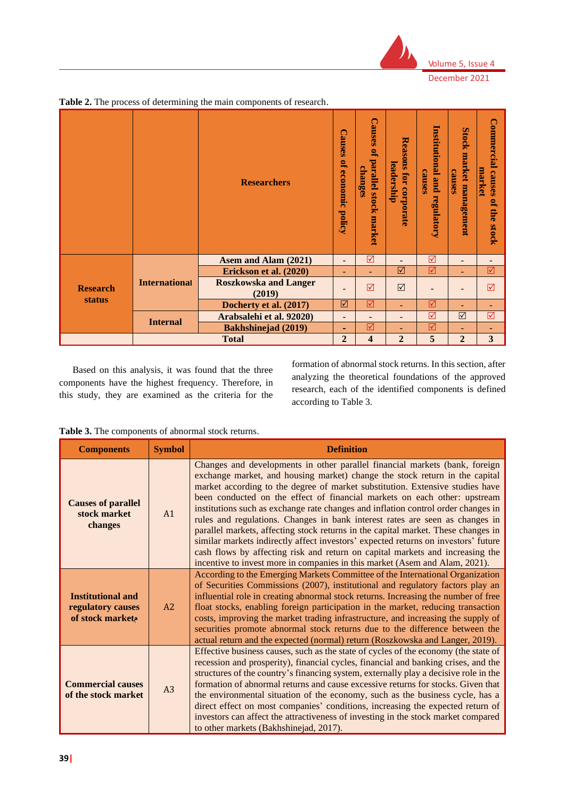

|                 |                      | <b>Researchers</b>                     |                          | <b>Causes</b><br>P,<br>parallel<br>changes<br>Istock<br>market | <b>Reasons for corporate</b><br>leadership | Institutional<br>causes<br><b>bund</b><br>regulatory | Stock<br>market management<br>causes | <b>Commercial</b><br>market<br>causes<br>P,<br>the<br><b>Stock</b> |
|-----------------|----------------------|----------------------------------------|--------------------------|----------------------------------------------------------------|--------------------------------------------|------------------------------------------------------|--------------------------------------|--------------------------------------------------------------------|
|                 |                      | Asem and Alam (2021)                   | $\overline{\phantom{0}}$ | $\triangledown$                                                | -                                          | ☑                                                    | $\overline{\phantom{0}}$             | -                                                                  |
|                 | <b>International</b> | Erickson et al. (2020)                 | $\sim$                   | ٠                                                              | ☑                                          | ☑                                                    | $\overline{\phantom{a}}$             | ☑                                                                  |
| <b>Research</b> |                      | <b>Roszkowska and Langer</b><br>(2019) | -                        | $\triangledown$                                                | $\triangledown$                            |                                                      |                                      | ☑                                                                  |
| <b>status</b>   |                      | Docherty et al. (2017)                 | $\triangledown$          | ☑                                                              | $\blacksquare$                             | ☑                                                    | ٠                                    | $\overline{\phantom{a}}$                                           |
|                 | <b>Internal</b>      | Arabsalehi et al. 92020)               | $\overline{\phantom{a}}$ | -                                                              | -                                          | ☑                                                    | $\triangledown$                      | ⊠                                                                  |
|                 |                      | <b>Bakhshinejad (2019)</b>             | ۰                        | ☑                                                              | ÷                                          | ☑                                                    | ٠                                    | ۰                                                                  |
|                 |                      | <b>Total</b>                           | $\overline{2}$           | 4                                                              | $\overline{2}$                             | 5                                                    | $\overline{2}$                       | 3                                                                  |

**Table 2.** The process of determining the main components of research.

Based on this analysis, it was found that the three components have the highest frequency. Therefore, in this study, they are examined as the criteria for the formation of abnormal stock returns. In this section, after analyzing the theoretical foundations of the approved research, each of the identified components is defined according to Table 3.

**Table 3.** The components of abnormal stock returns.

| <b>Components</b>                                                | <b>Symbol</b>  | <b>Definition</b>                                                                                                                                                                                                                                                                                                                                                                                                                                                                                                                                                                                                                                                                                                                                                                                                                        |
|------------------------------------------------------------------|----------------|------------------------------------------------------------------------------------------------------------------------------------------------------------------------------------------------------------------------------------------------------------------------------------------------------------------------------------------------------------------------------------------------------------------------------------------------------------------------------------------------------------------------------------------------------------------------------------------------------------------------------------------------------------------------------------------------------------------------------------------------------------------------------------------------------------------------------------------|
| <b>Causes of parallel</b><br>stock market<br>changes             | A <sub>1</sub> | Changes and developments in other parallel financial markets (bank, foreign<br>exchange market, and housing market) change the stock return in the capital<br>market according to the degree of market substitution. Extensive studies have<br>been conducted on the effect of financial markets on each other: upstream<br>institutions such as exchange rate changes and inflation control order changes in<br>rules and regulations. Changes in bank interest rates are seen as changes in<br>parallel markets, affecting stock returns in the capital market. These changes in<br>similar markets indirectly affect investors' expected returns on investors' future<br>cash flows by affecting risk and return on capital markets and increasing the<br>incentive to invest more in companies in this market (Asem and Alam, 2021). |
| <b>Institutional and</b><br>regulatory causes<br>of stock market | A2             | According to the Emerging Markets Committee of the International Organization<br>of Securities Commissions (2007), institutional and regulatory factors play an<br>influential role in creating abnormal stock returns. Increasing the number of free<br>float stocks, enabling foreign participation in the market, reducing transaction<br>costs, improving the market trading infrastructure, and increasing the supply of<br>securities promote abnormal stock returns due to the difference between the<br>actual return and the expected (normal) return (Roszkowska and Langer, 2019).                                                                                                                                                                                                                                            |
| <b>Commercial causes</b><br>of the stock market                  | A3             | Effective business causes, such as the state of cycles of the economy (the state of<br>recession and prosperity), financial cycles, financial and banking crises, and the<br>structures of the country's financing system, externally play a decisive role in the<br>formation of abnormal returns and cause excessive returns for stocks. Given that<br>the environmental situation of the economy, such as the business cycle, has a<br>direct effect on most companies' conditions, increasing the expected return of<br>investors can affect the attractiveness of investing in the stock market compared<br>to other markets (Bakhshinejad, 2017).                                                                                                                                                                                  |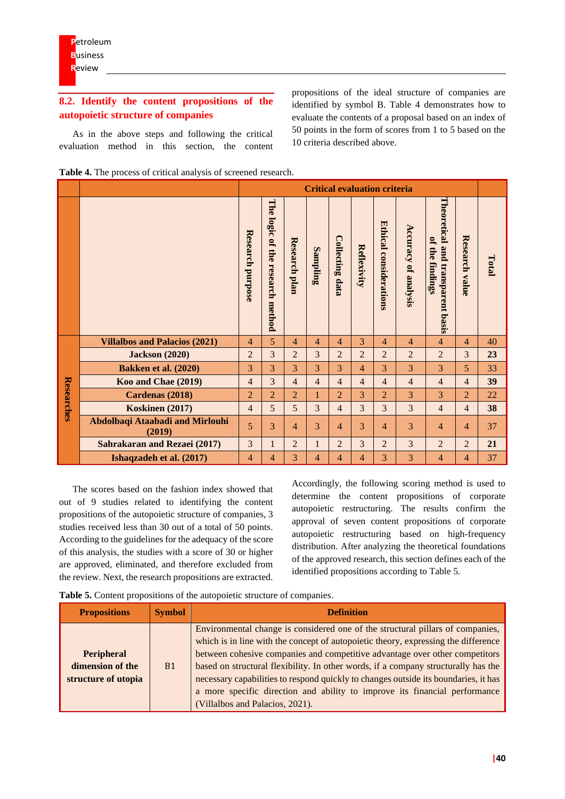# **8.2. Identify the content propositions of the autopoietic structure of companies**

As in the above steps and following the critical evaluation method in this section, the content propositions of the ideal structure of companies are identified by symbol B. Table 4 demonstrates how to evaluate the contents of a proposal based on an index of 50 points in the form of scores from 1 to 5 based on the 10 criteria described above.

| Table 4. The process of critical analysis of screened research. |
|-----------------------------------------------------------------|
|-----------------------------------------------------------------|

|            |                                           |                         | <b>Critical evaluation criteria</b>    |                |                |                        |                |                        |                             |                                                         |                   |       |
|------------|-------------------------------------------|-------------------------|----------------------------------------|----------------|----------------|------------------------|----------------|------------------------|-----------------------------|---------------------------------------------------------|-------------------|-------|
|            |                                           | <b>Research purpose</b> | The logic of the<br>research<br>method | Research plan  | Sampling       | <b>Collecting data</b> | Reflexivity    | Ethical considerations | <b>Accuracy of analysis</b> | Theoretical and<br>of the findings<br>transparent basis | Research<br>value | Total |
|            | <b>Villalbos and Palacios (2021)</b>      | 4                       | 5                                      | 4              | 4              | 4                      | 3              | 4                      | 4                           | 4                                                       | 4                 | 40    |
|            | <b>Jackson</b> (2020)                     | $\overline{2}$          | 3                                      | $\overline{2}$ | 3              | $\overline{2}$         | $\overline{2}$ | $\overline{2}$         | $\overline{2}$              | $\overline{2}$                                          | 3                 | 23    |
|            | Bakken et al. (2020)                      | 3                       | 3                                      | 3              | 3              | 3                      | 4              | 3                      | 3                           | 3                                                       | 5                 | 33    |
|            | Koo and Chae (2019)                       | $\overline{4}$          | 3                                      | 4              | $\overline{4}$ | $\overline{4}$         | $\overline{4}$ | $\overline{4}$         | $\overline{4}$              | $\overline{4}$                                          | $\overline{4}$    | 39    |
| Researches | Cardenas (2018)                           | $\overline{2}$          | $\overline{2}$                         | $\overline{2}$ |                | $\overline{2}$         | 3              | $\overline{2}$         | 3                           | 3                                                       | $\overline{2}$    | 22    |
|            | Koskinen (2017)                           | $\overline{4}$          | 5                                      | 5              | 3              | $\overline{4}$         | 3              | 3                      | 3                           | $\overline{4}$                                          | $\overline{4}$    | 38    |
|            | Abdolbaqi Ataabadi and Mirlouhi<br>(2019) | 5                       | 3                                      | $\overline{4}$ | 3              | $\overline{4}$         | 3              | $\overline{4}$         | 3                           | $\overline{4}$                                          | 4                 | 37    |
|            | <b>Sahrakaran and Rezaei (2017)</b>       | 3                       | $\mathbf{1}$                           | $\overline{2}$ |                | $\overline{2}$         | 3              | $\overline{2}$         | 3                           | $\overline{2}$                                          | $\overline{2}$    | 21    |
|            | Ishaqzadeh et al. (2017)                  | 4                       | 4                                      | 3              | 4              | 4                      | 4              | 3                      | 3                           | 4                                                       | 4                 | 37    |

The scores based on the fashion index showed that out of 9 studies related to identifying the content propositions of the autopoietic structure of companies, 3 studies received less than 30 out of a total of 50 points. According to the guidelines for the adequacy of the score of this analysis, the studies with a score of 30 or higher are approved, eliminated, and therefore excluded from the review. Next, the research propositions are extracted.

Accordingly, the following scoring method is used to determine the content propositions of corporate autopoietic restructuring. The results confirm the approval of seven content propositions of corporate autopoietic restructuring based on high-frequency distribution. After analyzing the theoretical foundations of the approved research, this section defines each of the identified propositions according to Table 5.

| <b>Propositions</b>                                          | <b>Symbol</b> | <b>Definition</b>                                                                                                                                                                                                                                                                                                                                                                                                                                                                                                                                 |
|--------------------------------------------------------------|---------------|---------------------------------------------------------------------------------------------------------------------------------------------------------------------------------------------------------------------------------------------------------------------------------------------------------------------------------------------------------------------------------------------------------------------------------------------------------------------------------------------------------------------------------------------------|
| <b>Peripheral</b><br>dimension of the<br>structure of utopia | <b>B1</b>     | Environmental change is considered one of the structural pillars of companies,<br>which is in line with the concept of autopoietic theory, expressing the difference<br>between cohesive companies and competitive advantage over other competitors<br>based on structural flexibility. In other words, if a company structurally has the<br>necessary capabilities to respond quickly to changes outside its boundaries, it has<br>a more specific direction and ability to improve its financial performance<br>(Villalbos and Palacios, 2021). |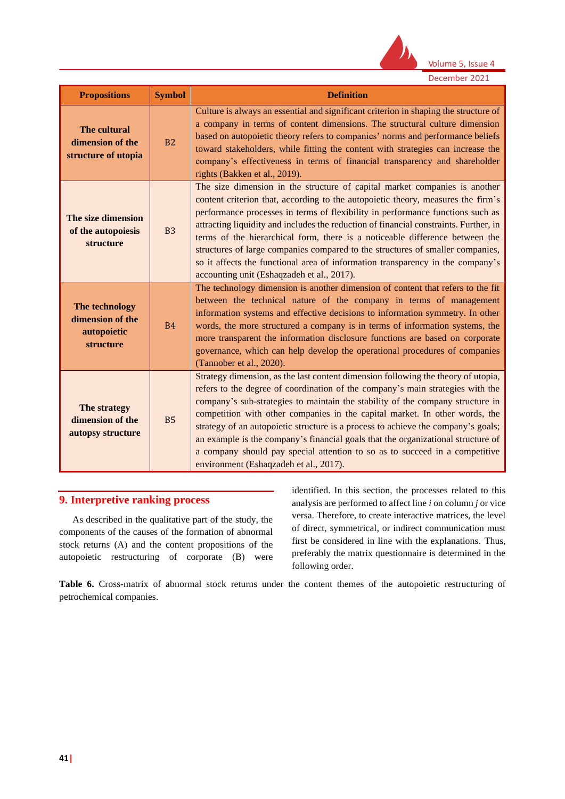

| <b>Propositions</b>                                            | <b>Symbol</b>  | <b>Definition</b>                                                                                                                                                                                                                                                                                                                                                                                                                                                                                                                                                                                                                           |
|----------------------------------------------------------------|----------------|---------------------------------------------------------------------------------------------------------------------------------------------------------------------------------------------------------------------------------------------------------------------------------------------------------------------------------------------------------------------------------------------------------------------------------------------------------------------------------------------------------------------------------------------------------------------------------------------------------------------------------------------|
| The cultural<br>dimension of the<br>structure of utopia        | <b>B2</b>      | Culture is always an essential and significant criterion in shaping the structure of<br>a company in terms of content dimensions. The structural culture dimension<br>based on autopoietic theory refers to companies' norms and performance beliefs<br>toward stakeholders, while fitting the content with strategies can increase the<br>company's effectiveness in terms of financial transparency and shareholder<br>rights (Bakken et al., 2019).                                                                                                                                                                                      |
| The size dimension<br>of the autopoiesis<br>structure          | B <sub>3</sub> | The size dimension in the structure of capital market companies is another<br>content criterion that, according to the autopoietic theory, measures the firm's<br>performance processes in terms of flexibility in performance functions such as<br>attracting liquidity and includes the reduction of financial constraints. Further, in<br>terms of the hierarchical form, there is a noticeable difference between the<br>structures of large companies compared to the structures of smaller companies,<br>so it affects the functional area of information transparency in the company's<br>accounting unit (Eshaqzadeh et al., 2017). |
| The technology<br>dimension of the<br>autopoietic<br>structure | <b>B4</b>      | The technology dimension is another dimension of content that refers to the fit<br>between the technical nature of the company in terms of management<br>information systems and effective decisions to information symmetry. In other<br>words, the more structured a company is in terms of information systems, the<br>more transparent the information disclosure functions are based on corporate<br>governance, which can help develop the operational procedures of companies<br>(Tannober et al., 2020).                                                                                                                            |
| The strategy<br>dimension of the<br>autopsy structure          | <b>B5</b>      | Strategy dimension, as the last content dimension following the theory of utopia,<br>refers to the degree of coordination of the company's main strategies with the<br>company's sub-strategies to maintain the stability of the company structure in<br>competition with other companies in the capital market. In other words, the<br>strategy of an autopoietic structure is a process to achieve the company's goals;<br>an example is the company's financial goals that the organizational structure of<br>a company should pay special attention to so as to succeed in a competitive<br>environment (Eshaqzadeh et al., 2017).      |

# **9. Interpretive ranking process**

As described in the qualitative part of the study, the components of the causes of the formation of abnormal stock returns (A) and the content propositions of the autopoietic restructuring of corporate (B) were identified. In this section, the processes related to this analysis are performed to affect line *i* on column *j* or vice versa. Therefore, to create interactive matrices, the level of direct, symmetrical, or indirect communication must first be considered in line with the explanations. Thus, preferably the matrix questionnaire is determined in the following order.

**Table 6.** Cross-matrix of abnormal stock returns under the content themes of the autopoietic restructuring of petrochemical companies.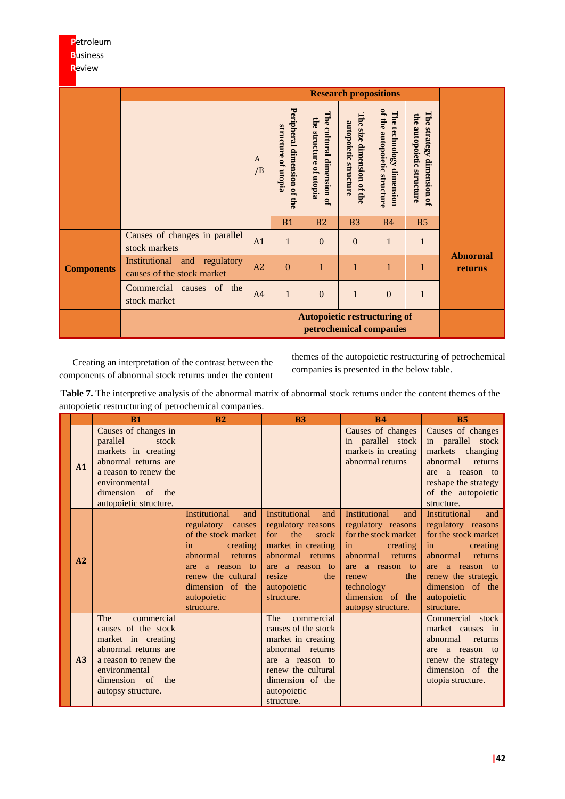|                   |                                                            |         |                                                    |                                                                | <b>Research propositions</b>                       |                                                          |                                                                 |                            |
|-------------------|------------------------------------------------------------|---------|----------------------------------------------------|----------------------------------------------------------------|----------------------------------------------------|----------------------------------------------------------|-----------------------------------------------------------------|----------------------------|
|                   |                                                            | A<br>/B | Peripheral dimension of the<br>structure of utopia | The cultural dimension of<br>the structure<br>of utopia        | The size dimension of the<br>autopoietic structure | of the autopoietic structure<br>The technology dimension | The<br>the<br>autopoietic structure<br>strategy<br>dimension of |                            |
|                   |                                                            |         | <b>B1</b>                                          | <b>B2</b>                                                      | <b>B3</b>                                          | <b>B4</b>                                                | <b>B5</b>                                                       |                            |
|                   | Causes of changes in parallel<br>stock markets             | A1      | $\mathbf{1}$                                       | $\Omega$                                                       | $\Omega$                                           | 1                                                        | $\mathbf{1}$                                                    |                            |
| <b>Components</b> | Institutional and regulatory<br>causes of the stock market | A2      | $\Omega$                                           | $\mathbf{1}$                                                   | 1                                                  | $\mathbf{1}$                                             | $\mathbf{1}$                                                    | <b>Abnormal</b><br>returns |
|                   | Commercial<br>of the<br>causes<br>stock market             | A4      | $\mathbf{1}$                                       | $\overline{0}$                                                 | $\mathbf{1}$                                       | $\overline{0}$                                           | $\mathbf{1}$                                                    |                            |
|                   |                                                            |         |                                                    | <b>Autopoietic restructuring of</b><br>petrochemical companies |                                                    |                                                          |                                                                 |                            |

Creating an interpretation of the contrast between the components of abnormal stock returns under the content

themes of the autopoietic restructuring of petrochemical companies is presented in the below table.

| <b>Table 7.</b> The interpretive analysis of the abnormal matrix of abnormal stock returns under the content themes of the |  |  |  |
|----------------------------------------------------------------------------------------------------------------------------|--|--|--|
| autopoietic restructuring of petrochemical companies.                                                                      |  |  |  |

|                | B <sub>1</sub>                                                                                                                                                                   | B <sub>2</sub>                                                                                                                                                                                             | <b>B3</b>                                                                                                                                                                           | <b>B4</b>                                                                                                                                                                                                     | <b>B5</b>                                                                                                                                                                                                     |
|----------------|----------------------------------------------------------------------------------------------------------------------------------------------------------------------------------|------------------------------------------------------------------------------------------------------------------------------------------------------------------------------------------------------------|-------------------------------------------------------------------------------------------------------------------------------------------------------------------------------------|---------------------------------------------------------------------------------------------------------------------------------------------------------------------------------------------------------------|---------------------------------------------------------------------------------------------------------------------------------------------------------------------------------------------------------------|
| A1             | Causes of changes in<br>parallel<br>stock<br>markets in creating<br>abnormal returns are<br>a reason to renew the<br>environmental<br>dimension of the<br>autopoietic structure. |                                                                                                                                                                                                            |                                                                                                                                                                                     | Causes of changes<br>in parallel stock<br>markets in creating<br>abnormal returns                                                                                                                             | Causes of changes<br>in parallel stock<br>markets changing<br>abnormal<br>returns<br>a reason to<br>are<br>reshape the strategy<br>of the autopoietic<br>structure.                                           |
| A2             |                                                                                                                                                                                  | <b>Institutional</b><br>and<br>regulatory causes<br>of the stock market<br>in<br>creating<br>abnormal<br>returns<br>are a reason to<br>renew the cultural<br>dimension of the<br>autopoietic<br>structure. | <b>Institutional</b><br>and<br>regulatory reasons<br>for<br>the<br>stock<br>market in creating<br>abnormal returns<br>are a reason to<br>resize<br>the<br>autopoietic<br>structure. | <b>Institutional</b><br>and<br>regulatory reasons<br>for the stock market<br>in<br>creating<br>abnormal<br>returns<br>are a reason to<br>the<br>renew<br>technology<br>dimension of the<br>autopsy structure. | <b>Institutional</b><br>and<br>regulatory reasons<br>for the stock market<br>in<br>creating<br>abnormal<br>returns<br>are a reason to<br>renew the strategic<br>dimension of the<br>autopoietic<br>structure. |
| A <sub>3</sub> | The<br>commercial<br>causes of the stock<br>market in creating<br>abnormal returns are<br>a reason to renew the<br>environmental<br>dimension of the<br>autopsy structure.       |                                                                                                                                                                                                            | The<br>commercial<br>causes of the stock<br>market in creating<br>abnormal returns<br>are a reason to<br>renew the cultural<br>dimension of the<br>autopoietic<br>structure.        |                                                                                                                                                                                                               | Commercial stock<br>market causes in<br>abnormal<br>returns<br>a reason to<br>are<br>renew the strategy<br>dimension of the<br>utopia structure.                                                              |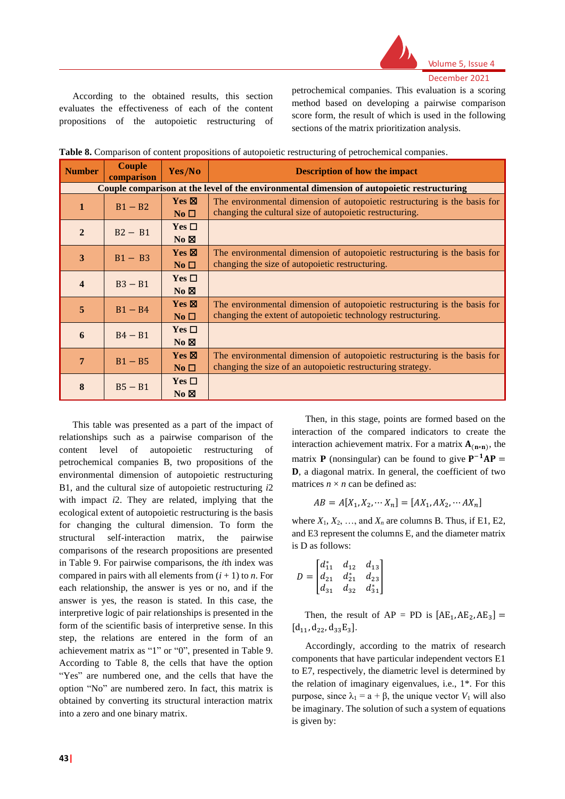

According to the obtained results, this section evaluates the effectiveness of each of the content propositions of the autopoietic restructuring of petrochemical companies. This evaluation is a scoring method based on developing a pairwise comparison score form, the result of which is used in the following sections of the matrix prioritization analysis.

| <b>Number</b>                                                                              | <b>Couple</b><br>comparison | Yes/No                             | <b>Description of how the impact</b>                                                                                                      |  |  |  |  |  |
|--------------------------------------------------------------------------------------------|-----------------------------|------------------------------------|-------------------------------------------------------------------------------------------------------------------------------------------|--|--|--|--|--|
| Couple comparison at the level of the environmental dimension of autopoietic restructuring |                             |                                    |                                                                                                                                           |  |  |  |  |  |
| 1                                                                                          | $B1 - B2$                   | $Yes \boxtimes$<br>No <sub>1</sub> | The environmental dimension of autopoietic restructuring is the basis for<br>changing the cultural size of autopoietic restructuring.     |  |  |  |  |  |
| $\overline{2}$                                                                             | $B2 - B1$                   | Yes $\Box$<br>$No \boxtimes$       |                                                                                                                                           |  |  |  |  |  |
| 3                                                                                          | $B1 - B3$                   | $Yes \boxtimes$<br>No $\square$    | The environmental dimension of autopoietic restructuring is the basis for<br>changing the size of autopoietic restructuring.              |  |  |  |  |  |
| $\boldsymbol{4}$                                                                           | $B3 - B1$                   | $Yes \Box$<br>$No \boxtimes$       |                                                                                                                                           |  |  |  |  |  |
| 5                                                                                          | $B1 - B4$                   | $Yes \boxtimes$<br>$No\square$     | The environmental dimension of autopoietic restructuring is the basis for<br>changing the extent of autopoietic technology restructuring. |  |  |  |  |  |
| 6                                                                                          | $B4 - B1$                   | Yes $\Box$<br>$No \boxtimes$       |                                                                                                                                           |  |  |  |  |  |
| 7                                                                                          | $B1 - B5$                   | $Yes \boxtimes$<br>No <sub>1</sub> | The environmental dimension of autopoietic restructuring is the basis for<br>changing the size of an autopoietic restructuring strategy.  |  |  |  |  |  |
| 8                                                                                          | $B5 - B1$                   | Yes $\Box$<br>$No \boxtimes$       |                                                                                                                                           |  |  |  |  |  |

**Table 8.** Comparison of content propositions of autopoietic restructuring of petrochemical companies.

This table was presented as a part of the impact of relationships such as a pairwise comparison of the content level of autopoietic restructuring of petrochemical companies B, two propositions of the environmental dimension of autopoietic restructuring B1, and the cultural size of autopoietic restructuring *i*2 with impact *i*2. They are related, implying that the ecological extent of autopoietic restructuring is the basis for changing the cultural dimension. To form the structural self-interaction matrix, the pairwise comparisons of the research propositions are presented in Table 9. For pairwise comparisons, the *i*th index was compared in pairs with all elements from  $(i + 1)$  to *n*. For each relationship, the answer is yes or no, and if the answer is yes, the reason is stated. In this case, the interpretive logic of pair relationships is presented in the form of the scientific basis of interpretive sense. In this step, the relations are entered in the form of an achievement matrix as "1" or "0", presented in Table 9. According to Table 8, the cells that have the option "Yes" are numbered one, and the cells that have the option "No" are numbered zero. In fact, this matrix is obtained by converting its structural interaction matrix into a zero and one binary matrix.

Then, in this stage, points are formed based on the interaction of the compared indicators to create the interaction achievement matrix. For a matrix  $A_{(n*n)}$ , the matrix **P** (nonsingular) can be found to give  $P^{-1}AP =$ D, a diagonal matrix. In general, the coefficient of two matrices  $n \times n$  can be defined as:

$$
AB = A[X_1, X_2, \cdots X_n] = [AX_1, AX_2, \cdots AX_n]
$$

where  $X_1, X_2, \ldots$ , and  $X_n$  are columns B. Thus, if E1, E2, and E3 represent the columns E, and the diameter matrix is D as follows:

$$
D = \begin{bmatrix} d_{11}^* & d_{12} & d_{13} \\ d_{21} & d_{21}^* & d_{23} \\ d_{31} & d_{32} & d_{31}^* \end{bmatrix}
$$

Then, the result of  $AP = PD$  is  $[AE_1, AE_2, AE_3] =$  $[d_{11}, d_{22}, d_{33}E_3]$ .

Accordingly, according to the matrix of research components that have particular independent vectors E1 to E7, respectively, the diametric level is determined by the relation of imaginary eigenvalues, i.e., 1\*. For this purpose, since  $λ_1 = a + β$ , the unique vector *V*<sub>1</sub> will also be imaginary. The solution of such a system of equations is given by: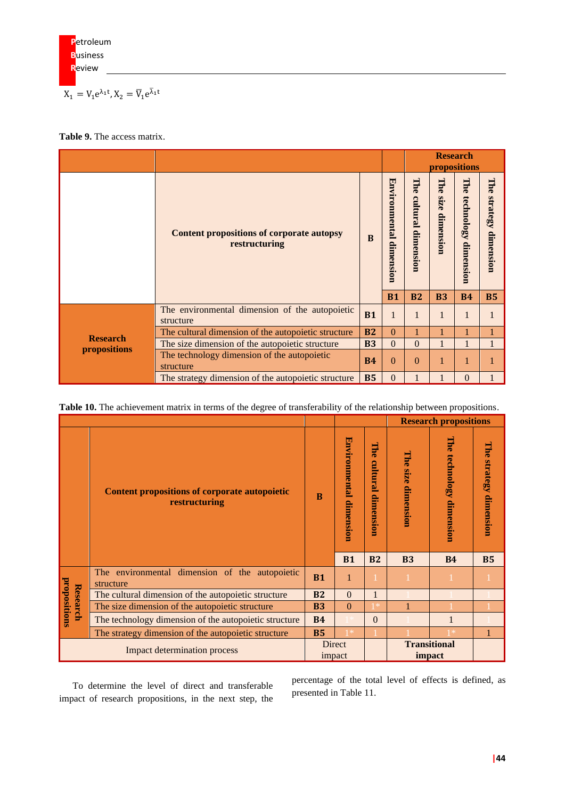$$
X_1=V_1e^{\lambda_1t}, X_2=\overline{V}_1e^{\overline{\lambda}_1t}
$$

#### **Table 9.** The access matrix.

|                 |                                                                   |              |                         |           |                          | <b>Research</b><br>propositions |                        |
|-----------------|-------------------------------------------------------------------|--------------|-------------------------|-----------|--------------------------|---------------------------------|------------------------|
|                 | <b>Content propositions of corporate autopsy</b><br>restructuring | <sub>B</sub> | Environmental dimension |           | The<br>size<br>dimension | The<br>technology dimension     | The strategy dimension |
|                 |                                                                   |              | <b>B1</b>               | <b>B2</b> | <b>B3</b>                | <b>B4</b>                       | <b>B5</b>              |
|                 | The environmental dimension of the autopoietic<br>structure       | <b>B1</b>    | $\mathbf{1}$            | 1         | 1                        | 1                               | п                      |
| <b>Research</b> | The cultural dimension of the autopoietic structure               | <b>B2</b>    | $\Omega$                |           |                          |                                 |                        |
| propositions    | The size dimension of the autopoietic structure                   | <b>B3</b>    | $\Omega$                | $\Omega$  | 1                        | $\mathbf{1}$                    | 1                      |
|                 | The technology dimension of the autopoietic<br>structure          | <b>B4</b>    | $\Omega$                | $\Omega$  |                          | 1                               |                        |
|                 | The strategy dimension of the autopoietic structure               | <b>B5</b>    | $\mathbf{0}$            | 1         |                          | $\mathbf{0}$                    |                        |

**Table 10.** The achievement matrix in terms of the degree of transferability of the relationship between propositions.

|                                     |                                                                       |                  |           |                                        |                          | <b>Research propositions</b>   |                        |
|-------------------------------------|-----------------------------------------------------------------------|------------------|-----------|----------------------------------------|--------------------------|--------------------------------|------------------------|
|                                     | <b>Content propositions of corporate autopoietic</b><br>restructuring |                  |           | н<br><b>A</b><br>cultural<br>dimension | The<br>size<br>dimension | The<br>technology<br>dimension | The strategy dimension |
|                                     |                                                                       |                  | <b>B1</b> | <b>B2</b>                              | <b>B3</b>                | <b>B4</b>                      | <b>B5</b>              |
|                                     | The environmental dimension of the autopoietic<br>structure           | <b>B1</b>        | 1         |                                        |                          |                                |                        |
| Research                            | The cultural dimension of the autopoietic structure                   | <b>B2</b>        | $\Omega$  |                                        |                          |                                |                        |
|                                     | The size dimension of the autopoietic structure                       | <b>B3</b>        | $\Omega$  | *                                      |                          |                                |                        |
| propositions                        | The technology dimension of the autopoietic structure                 |                  |           | $\Omega$                               |                          |                                |                        |
|                                     | The strategy dimension of the autopoietic structure                   | <b>B5</b>        | *         |                                        |                          | *                              |                        |
| <b>Impact determination process</b> |                                                                       | Direct<br>impact |           |                                        |                          | <b>Transitional</b><br>impact  |                        |

To determine the level of direct and transferable impact of research propositions, in the next step, the

percentage of the total level of effects is defined, as presented in Table 11.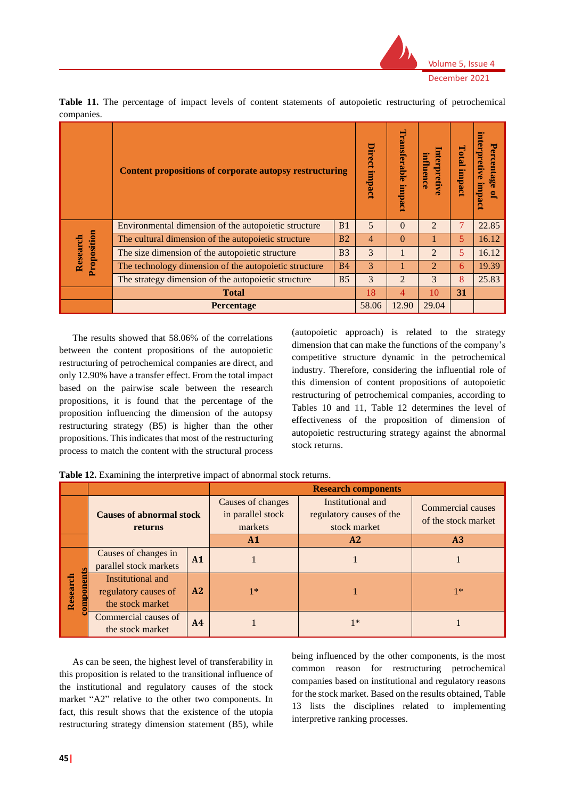

|             | Content propositions of corporate autopsy restructuring |                | <b>Direct</b><br>impact | Transferable<br>impact | influence<br>terpretive     | Total<br>impact | interpretive impact<br>ercentage of |
|-------------|---------------------------------------------------------|----------------|-------------------------|------------------------|-----------------------------|-----------------|-------------------------------------|
|             | Environmental dimension of the autopoietic structure    | <b>B1</b>      | 5                       | $\Omega$               | $\mathcal{L}$               | 7               | 22.85                               |
|             | The cultural dimension of the autopoietic structure     | B <sub>2</sub> | 4                       | $\Omega$               |                             | 5               | 16.12                               |
| Research    | The size dimension of the autopoietic structure         | <b>B3</b>      | 3                       |                        | $\mathcal{L}$               | 5               | 16.12                               |
| Proposition | The technology dimension of the autopoietic structure   | <b>B4</b>      | 3                       |                        | $\mathcal{D}_{\mathcal{L}}$ | 6               | 19.39                               |
|             | The strategy dimension of the autopoietic structure     | 3              | $\overline{2}$          | 3                      | 8                           | 25.83           |                                     |
|             | <b>Total</b>                                            | 18             | 4                       | 10                     | 31                          |                 |                                     |
|             | Percentage                                              | 58.06          | 12.90                   | 29.04                  |                             |                 |                                     |

**Table 11.** The percentage of impact levels of content statements of autopoietic restructuring of petrochemical companies.

The results showed that 58.06% of the correlations between the content propositions of the autopoietic restructuring of petrochemical companies are direct, and only 12.90% have a transfer effect. From the total impact based on the pairwise scale between the research propositions, it is found that the percentage of the proposition influencing the dimension of the autopsy restructuring strategy (B5) is higher than the other propositions. This indicates that most of the restructuring process to match the content with the structural process

(autopoietic approach) is related to the strategy dimension that can make the functions of the company's competitive structure dynamic in the petrochemical industry. Therefore, considering the influential role of this dimension of content propositions of autopoietic restructuring of petrochemical companies, according to Tables 10 and 11, Table 12 determines the level of effectiveness of the proposition of dimension of autopoietic restructuring strategy against the abnormal stock returns.

**Table 12.** Examining the interpretive impact of abnormal stock returns.

|                            |                                                               |                | <b>Research components</b>                        |                                                               |                                          |  |  |  |  |  |  |
|----------------------------|---------------------------------------------------------------|----------------|---------------------------------------------------|---------------------------------------------------------------|------------------------------------------|--|--|--|--|--|--|
|                            | <b>Causes of abnormal stock</b><br>returns                    |                | Causes of changes<br>in parallel stock<br>markets | Institutional and<br>regulatory causes of the<br>stock market | Commercial causes<br>of the stock market |  |  |  |  |  |  |
|                            |                                                               |                | A1                                                | A2                                                            | A <sub>3</sub>                           |  |  |  |  |  |  |
|                            | Causes of changes in<br>parallel stock markets                | A1             |                                                   |                                                               |                                          |  |  |  |  |  |  |
| <b>mponent</b><br>Research | Institutional and<br>regulatory causes of<br>the stock market | A2             | $1*$                                              |                                                               | $1*$                                     |  |  |  |  |  |  |
|                            | Commercial causes of<br>the stock market                      | A <sub>4</sub> |                                                   | $1*$                                                          |                                          |  |  |  |  |  |  |

As can be seen, the highest level of transferability in this proposition is related to the transitional influence of the institutional and regulatory causes of the stock market "A2" relative to the other two components. In fact, this result shows that the existence of the utopia restructuring strategy dimension statement (B5), while

being influenced by the other components, is the most common reason for restructuring petrochemical companies based on institutional and regulatory reasons for the stock market. Based on the results obtained, Table 13 lists the disciplines related to implementing interpretive ranking processes.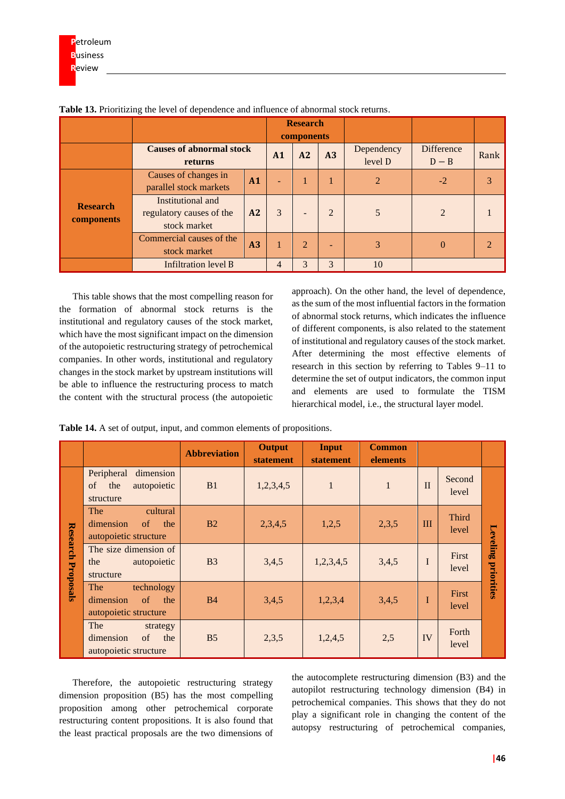|                               |                                                               |    |    | <b>Research</b><br>components |                |                       |                              |                       |
|-------------------------------|---------------------------------------------------------------|----|----|-------------------------------|----------------|-----------------------|------------------------------|-----------------------|
|                               | <b>Causes of abnormal stock</b><br>returns                    |    | A1 | A2                            | A3             | Dependency<br>level D | <b>Difference</b><br>$D - B$ | Rank                  |
|                               | Causes of changes in<br>parallel stock markets                | A1 |    |                               |                | $\overline{2}$        | $-2$                         | 3                     |
| <b>Research</b><br>components | Institutional and<br>regulatory causes of the<br>stock market | A2 | 3  |                               | $\overline{2}$ |                       | $\overline{2}$               |                       |
|                               | Commercial causes of the<br>A <sub>3</sub><br>stock market    |    |    | $\overline{2}$                | -              | 3                     | 0                            | $\mathcal{D}_{\cdot}$ |
|                               | <b>Infiltration level B</b>                                   |    | 4  |                               | 3              | 10                    |                              |                       |

**Table 13.** Prioritizing the level of dependence and influence of abnormal stock returns.

This table shows that the most compelling reason for the formation of abnormal stock returns is the institutional and regulatory causes of the stock market, which have the most significant impact on the dimension of the autopoietic restructuring strategy of petrochemical companies. In other words, institutional and regulatory changes in the stock market by upstream institutions will be able to influence the restructuring process to match the content with the structural process (the autopoietic

approach). On the other hand, the level of dependence, as the sum of the most influential factors in the formation of abnormal stock returns, which indicates the influence of different components, is also related to the statement of institutional and regulatory causes of the stock market. After determining the most effective elements of research in this section by referring to Tables 9–11 to determine the set of output indicators, the common input and elements are used to formulate the TISM hierarchical model, i.e., the structural layer model.

**Table 14.** A set of output, input, and common elements of propositions.

|                           |                                                                           | <b>Abbreviation</b> | <b>Output</b><br><b>statement</b> | Input<br>statement | <b>Common</b><br>elements |              |                       |            |
|---------------------------|---------------------------------------------------------------------------|---------------------|-----------------------------------|--------------------|---------------------------|--------------|-----------------------|------------|
|                           | Peripheral<br>dimension<br>of the<br>autopoietic<br>structure             | B1                  | 1,2,3,4,5                         | $\mathbf{1}$       | $\mathbf{1}$              | $\mathbf{I}$ | Second<br>level       |            |
|                           | The<br>cultural<br>dimension<br>$\circ$ f<br>the<br>autopoietic structure | B <sub>2</sub>      | 2,3,4,5                           | 1,2,5              | 2,3,5                     | $\mathbf{I}$ | <b>Third</b><br>level | Leveling   |
| <b>Research Proposals</b> | The size dimension of<br>autopoietic<br>the<br>structure                  | B <sub>3</sub>      | 3,4,5                             | 1,2,3,4,5          | 3,4,5                     | $\bf{I}$     | First<br>level        | priorities |
|                           | The<br>technology<br>dimension<br>of<br>the<br>autopoietic structure      | <b>B4</b>           | 3,4,5                             | 1,2,3,4            | 3,4,5                     | I            | First<br>level        |            |
|                           | The<br>strategy<br>dimension<br>of<br>the<br>autopoietic structure        | B <sub>5</sub>      | 2,3,5                             | 1,2,4,5            | 2,5                       | IV           | Forth<br>level        |            |

Therefore, the autopoietic restructuring strategy dimension proposition (B5) has the most compelling proposition among other petrochemical corporate restructuring content propositions. It is also found that the least practical proposals are the two dimensions of the autocomplete restructuring dimension (B3) and the autopilot restructuring technology dimension (B4) in petrochemical companies. This shows that they do not play a significant role in changing the content of the autopsy restructuring of petrochemical companies,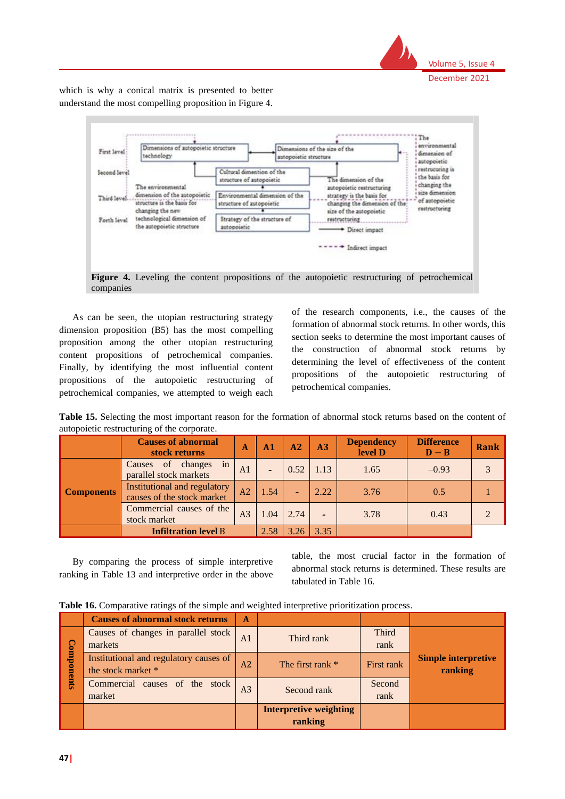

which is why a conical matrix is presented to better understand the most compelling proposition in Figure 4.



**Figure 4.** Leveling the content propositions of the autopoietic restructuring of petrochemical companies

As can be seen, the utopian restructuring strategy dimension proposition (B5) has the most compelling proposition among the other utopian restructuring content propositions of petrochemical companies. Finally, by identifying the most influential content propositions of the autopoietic restructuring of petrochemical companies, we attempted to weigh each of the research components, i.e., the causes of the formation of abnormal stock returns. In other words, this section seeks to determine the most important causes of the construction of abnormal stock returns by determining the level of effectiveness of the content propositions of the autopoietic restructuring of petrochemical companies.

**Table 15.** Selecting the most important reason for the formation of abnormal stock returns based on the content of autopoietic restructuring of the corporate.

|                   | <b>Causes of abnormal</b><br>stock returns                 | $\mathbf{A}$   | A1                       | A2   | A3   | <b>Dependency</b><br>level D | <b>Difference</b><br>$D - B$ | Rank |
|-------------------|------------------------------------------------------------|----------------|--------------------------|------|------|------------------------------|------------------------------|------|
| <b>Components</b> | in<br>Causes of changes<br>parallel stock markets          | A <sub>1</sub> | $\overline{\phantom{0}}$ | 0.52 | 1.13 | 1.65                         | $-0.93$                      |      |
|                   | Institutional and regulatory<br>causes of the stock market | A2             | 1.54                     |      | 2.22 | 3.76                         | 0.5                          |      |
|                   | Commercial causes of the<br>stock market                   | A <sub>3</sub> | 1.04                     | 2.74 |      | 3.78                         | 0.43                         |      |
|                   | <b>Infiltration level B</b>                                |                | 2.58                     | 3.26 | 3.35 |                              |                              |      |

By comparing the process of simple interpretive ranking in Table 13 and interpretive order in the above table, the most crucial factor in the formation of abnormal stock returns is determined. These results are tabulated in Table 16.

**Table 16.** Comparative ratings of the simple and weighted interpretive prioritization process.

|                   | <b>Causes of abnormal stock returns</b>                          | A              |                               |                      |                                       |  |
|-------------------|------------------------------------------------------------------|----------------|-------------------------------|----------------------|---------------------------------------|--|
|                   | Causes of changes in parallel stock<br>A <sub>1</sub><br>markets |                | Third rank                    | <b>Third</b><br>rank |                                       |  |
| <b>Components</b> | Institutional and regulatory causes of<br>the stock market *     |                | The first rank $*$            | First rank           | <b>Simple interpretive</b><br>ranking |  |
|                   | Commercial causes of the stock<br>market                         | A <sub>3</sub> | Second rank                   | Second<br>rank       |                                       |  |
|                   |                                                                  |                | <b>Interpretive weighting</b> |                      |                                       |  |
|                   |                                                                  |                | ranking                       |                      |                                       |  |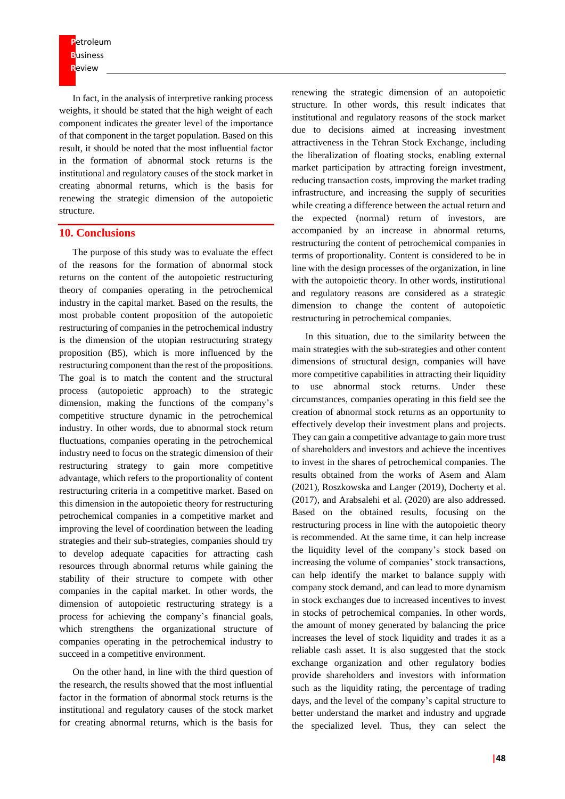**P**etroleum **B**usiness **R**eview

In fact, in the analysis of interpretive ranking process weights, it should be stated that the high weight of each component indicates the greater level of the importance of that component in the target population. Based on this result, it should be noted that the most influential factor in the formation of abnormal stock returns is the institutional and regulatory causes of the stock market in creating abnormal returns, which is the basis for renewing the strategic dimension of the autopoietic structure.

#### **10. Conclusions**

The purpose of this study was to evaluate the effect of the reasons for the formation of abnormal stock returns on the content of the autopoietic restructuring theory of companies operating in the petrochemical industry in the capital market. Based on the results, the most probable content proposition of the autopoietic restructuring of companies in the petrochemical industry is the dimension of the utopian restructuring strategy proposition (B5), which is more influenced by the restructuring component than the rest of the propositions. The goal is to match the content and the structural process (autopoietic approach) to the strategic dimension, making the functions of the company's competitive structure dynamic in the petrochemical industry. In other words, due to abnormal stock return fluctuations, companies operating in the petrochemical industry need to focus on the strategic dimension of their restructuring strategy to gain more competitive advantage, which refers to the proportionality of content restructuring criteria in a competitive market. Based on this dimension in the autopoietic theory for restructuring petrochemical companies in a competitive market and improving the level of coordination between the leading strategies and their sub-strategies, companies should try to develop adequate capacities for attracting cash resources through abnormal returns while gaining the stability of their structure to compete with other companies in the capital market. In other words, the dimension of autopoietic restructuring strategy is a process for achieving the company's financial goals, which strengthens the organizational structure of companies operating in the petrochemical industry to succeed in a competitive environment.

On the other hand, in line with the third question of the research, the results showed that the most influential factor in the formation of abnormal stock returns is the institutional and regulatory causes of the stock market for creating abnormal returns, which is the basis for renewing the strategic dimension of an autopoietic structure. In other words, this result indicates that institutional and regulatory reasons of the stock market due to decisions aimed at increasing investment attractiveness in the Tehran Stock Exchange, including the liberalization of floating stocks, enabling external market participation by attracting foreign investment, reducing transaction costs, improving the market trading infrastructure, and increasing the supply of securities while creating a difference between the actual return and the expected (normal) return of investors, are accompanied by an increase in abnormal returns, restructuring the content of petrochemical companies in terms of proportionality. Content is considered to be in line with the design processes of the organization, in line with the autopoietic theory. In other words, institutional and regulatory reasons are considered as a strategic dimension to change the content of autopoietic restructuring in petrochemical companies.

In this situation, due to the similarity between the main strategies with the sub-strategies and other content dimensions of structural design, companies will have more competitive capabilities in attracting their liquidity to use abnormal stock returns. Under these circumstances, companies operating in this field see the creation of abnormal stock returns as an opportunity to effectively develop their investment plans and projects. They can gain a competitive advantage to gain more trust of shareholders and investors and achieve the incentives to invest in the shares of petrochemical companies. The results obtained from the works of Asem and Alam (2021), Roszkowska and Langer (2019), Docherty et al. (2017), and Arabsalehi et al. (2020) are also addressed. Based on the obtained results, focusing on the restructuring process in line with the autopoietic theory is recommended. At the same time, it can help increase the liquidity level of the company's stock based on increasing the volume of companies' stock transactions, can help identify the market to balance supply with company stock demand, and can lead to more dynamism in stock exchanges due to increased incentives to invest in stocks of petrochemical companies. In other words, the amount of money generated by balancing the price increases the level of stock liquidity and trades it as a reliable cash asset. It is also suggested that the stock exchange organization and other regulatory bodies provide shareholders and investors with information such as the liquidity rating, the percentage of trading days, and the level of the company's capital structure to better understand the market and industry and upgrade the specialized level. Thus, they can select the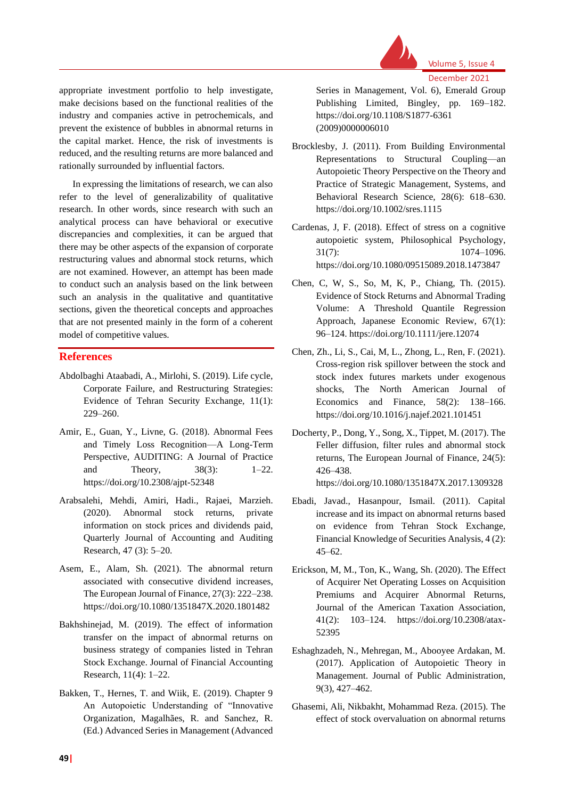

appropriate investment portfolio to help investigate, make decisions based on the functional realities of the industry and companies active in petrochemicals, and prevent the existence of bubbles in abnormal returns in the capital market. Hence, the risk of investments is reduced, and the resulting returns are more balanced and rationally surrounded by influential factors.

In expressing the limitations of research, we can also refer to the level of generalizability of qualitative research. In other words, since research with such an analytical process can have behavioral or executive discrepancies and complexities, it can be argued that there may be other aspects of the expansion of corporate restructuring values and abnormal stock returns, which are not examined. However, an attempt has been made to conduct such an analysis based on the link between such an analysis in the qualitative and quantitative sections, given the theoretical concepts and approaches that are not presented mainly in the form of a coherent model of competitive values.

### **References**

- Abdolbaghi Ataabadi, A., Mirlohi, S. (2019). Life cycle, Corporate Failure, and Restructuring Strategies: Evidence of Tehran Security Exchange, 11(1): 229–260.
- Amir, E., Guan, Y., Livne, G. (2018). Abnormal Fees and Timely Loss Recognition—A Long-Term Perspective, AUDITING: A Journal of Practice and Theory, 38(3): 1–22. https://doi.org/10.2308/ajpt-52348
- Arabsalehi, Mehdi, Amiri, Hadi., Rajaei, Marzieh. (2020). Abnormal stock returns, private information on stock prices and dividends paid, Quarterly Journal of Accounting and Auditing Research, 47 (3): 5–20.
- Asem, E., Alam, Sh. (2021). The abnormal return associated with consecutive dividend increases, The European Journal of Finance, 27(3): 222–238. https://doi.org/10.1080/1351847X.2020.1801482
- Bakhshinejad, M. (2019). The effect of information transfer on the impact of abnormal returns on business strategy of companies listed in Tehran Stock Exchange. Journal of Financial Accounting Research, 11(4): 1–22.
- Bakken, T., Hernes, T. and Wiik, E. (2019). Chapter 9 An Autopoietic Understanding of "Innovative Organization, Magalhães, R. and Sanchez, R. (Ed.) Advanced Series in Management (Advanced

Series in Management, Vol. 6), Emerald Group Publishing Limited, Bingley, pp. 169–182. https://doi.org/10.1108/S1877-6361 (2009)0000006010

- Brocklesby, J. (2011). From Building Environmental Representations to Structural Coupling—an Autopoietic Theory Perspective on the Theory and Practice of Strategic Management, Systems, and Behavioral Research Science, 28(6): 618–630. https://doi.org/10.1002/sres.1115
- Cardenas, J, F. (2018). Effect of stress on a cognitive autopoietic system, Philosophical Psychology,  $31(7):$  1074–1096. https://doi.org/10.1080/09515089.2018.1473847
- Chen, C, W, S., So, M, K, P., Chiang, Th. (2015). Evidence of Stock Returns and Abnormal Trading Volume: A Threshold Quantile Regression Approach, Japanese Economic Review, 67(1): 96–124. https://doi.org/10.1111/jere.12074
- Chen, Zh., Li, S., Cai, M, L., Zhong, L., Ren, F. (2021). Cross-region risk spillover between the stock and stock index futures markets under exogenous shocks, The North American Journal of Economics and Finance, 58(2): 138–166. https://doi.org/10.1016/j.najef.2021.101451
- Docherty, P., Dong, Y., Song, X., Tippet, M. (2017). The Feller diffusion, filter rules and abnormal stock returns, The European Journal of Finance, 24(5): 426–438. https://doi.org/10.1080/1351847X.2017.1309328
- Ebadi, Javad., Hasanpour, Ismail. (2011). Capital increase and its impact on abnormal returns based on evidence from Tehran Stock Exchange, Financial Knowledge of Securities Analysis, 4 (2): 45–62.
- Erickson, M, M., Ton, K., Wang, Sh. (2020). The Effect of Acquirer Net Operating Losses on Acquisition Premiums and Acquirer Abnormal Returns, Journal of the American Taxation Association, 41(2): 103–124. https://doi.org/10.2308/atax-52395
- Eshaghzadeh, N., Mehregan, M., Abooyee Ardakan, M. (2017). Application of Autopoietic Theory in Management. Journal of Public Administration, 9(3), 427–462.
- Ghasemi, Ali, Nikbakht, Mohammad Reza. (2015). The effect of stock overvaluation on abnormal returns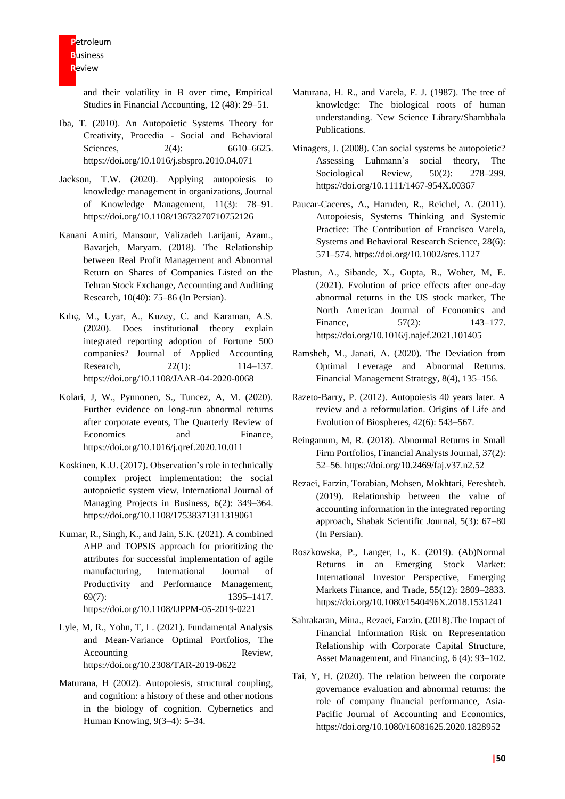and their volatility in B over time, Empirical Studies in Financial Accounting, 12 (48): 29–51.

- Iba, T. (2010). An Autopoietic Systems Theory for Creativity, Procedia - Social and Behavioral Sciences, 2(4): 6610–6625. https://doi.org/10.1016/j.sbspro.2010.04.071
- Jackson, T.W. (2020). Applying autopoiesis to knowledge management in organizations, Journal of Knowledge Management, 11(3): 78–91. https://doi.org/10.1108/13673270710752126
- Kanani Amiri, Mansour, Valizadeh Larijani, Azam., Bavarjeh, Maryam. (2018). The Relationship between Real Profit Management and Abnormal Return on Shares of Companies Listed on the Tehran Stock Exchange, Accounting and Auditing Research, 10(40): 75–86 (In Persian).
- Kılıç, M., Uyar, A., Kuzey, C. and Karaman, A.S. (2020). Does institutional theory explain integrated reporting adoption of Fortune 500 companies? Journal of Applied Accounting Research, 22(1): 114–137. https://doi.org/10.1108/JAAR-04-2020-0068
- Kolari, J, W., Pynnonen, S., Tuncez, A, M. (2020). Further evidence on long-run abnormal returns after corporate events, The Quarterly Review of Economics and Finance, https://doi.org/10.1016/j.qref.2020.10.011
- Koskinen, K.U. (2017). Observation's role in technically complex project implementation: the social autopoietic system view, International Journal of Managing Projects in Business, 6(2): 349–364. https://doi.org/10.1108/17538371311319061
- Kumar, R., Singh, K., and Jain, S.K. (2021). A combined AHP and TOPSIS approach for prioritizing the attributes for successful implementation of agile manufacturing, International Journal of Productivity and Performance Management, 69(7): 1395–1417. https://doi.org/10.1108/IJPPM-05-2019-0221
- Lyle, M, R., Yohn, T, L. (2021). Fundamental Analysis and Mean-Variance Optimal Portfolios, The Accounting Review, https://doi.org/10.2308/TAR-2019-0622
- Maturana, H (2002). Autopoiesis, structural coupling, and cognition: a history of these and other notions in the biology of cognition. Cybernetics and Human Knowing, 9(3–4): 5–34.
- Maturana, H. R., and Varela, F. J. (1987). The tree of knowledge: The biological roots of human understanding. New Science Library/Shambhala Publications.
- Minagers, J. (2008). Can social systems be autopoietic? Assessing Luhmann's social theory, The Sociological Review, 50(2): 278–299. https://doi.org/10.1111/1467-954X.00367
- Paucar-Caceres, A., Harnden, R., Reichel, A. (2011). Autopoiesis, Systems Thinking and Systemic Practice: The Contribution of Francisco Varela, Systems and Behavioral Research Science, 28(6): 571–574. https://doi.org/10.1002/sres.1127
- Plastun, A., Sibande, X., Gupta, R., Woher, M, E. (2021). Evolution of price effects after one-day abnormal returns in the US stock market, The North American Journal of Economics and Finance, 57(2): 143–177. https://doi.org/10.1016/j.najef.2021.101405
- Ramsheh, M., Janati, A. (2020). The Deviation from Optimal Leverage and Abnormal Returns. Financial Management Strategy, 8(4), 135–156.
- Razeto-Barry, P. (2012). Autopoiesis 40 years later. A review and a reformulation. Origins of Life and Evolution of Biospheres, 42(6): 543–567.
- Reinganum, M, R. (2018). Abnormal Returns in Small Firm Portfolios, Financial Analysts Journal, 37(2): 52–56. https://doi.org/10.2469/faj.v37.n2.52
- Rezaei, Farzin, Torabian, Mohsen, Mokhtari, Fereshteh. (2019). Relationship between the value of accounting information in the integrated reporting approach, Shabak Scientific Journal, 5(3): 67–80 (In Persian).
- Roszkowska, P., Langer, L, K. (2019). (Ab)Normal Returns in an Emerging Stock Market: International Investor Perspective, Emerging Markets Finance, and Trade, 55(12): 2809–2833. https://doi.org/10.1080/1540496X.2018.1531241
- Sahrakaran, Mina., Rezaei, Farzin. (2018).The Impact of Financial Information Risk on Representation Relationship with Corporate Capital Structure, Asset Management, and Financing, 6 (4): 93–102.
- Tai, Y, H. (2020). The relation between the corporate governance evaluation and abnormal returns: the role of company financial performance, Asia-Pacific Journal of Accounting and Economics, https://doi.org/10.1080/16081625.2020.1828952